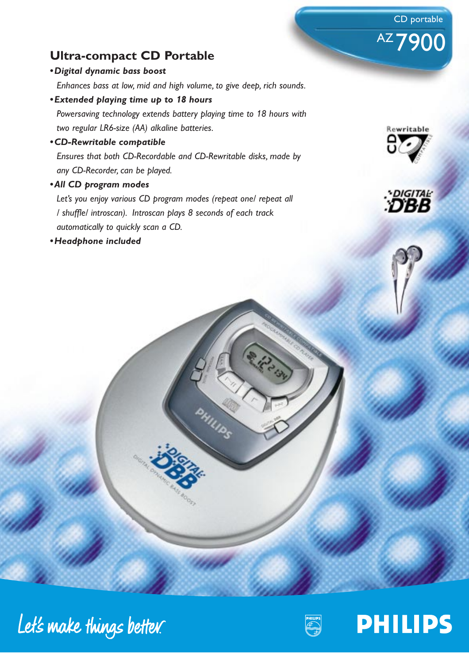## **Ultra-compact CD Portable**

#### *•Digital dynamic bass boost*

*Enhances bass at low, mid and high volume, to give deep, rich sounds.*

*•Extended playing time up to 18 hours*

*Powersaving technology extends battery playing time to 18 hours with two regular LR6-size (AA) alkaline batteries.*

*•CD-Rewritable compatible*

*Ensures that both CD-Recordable and CD-Rewritable disks, made by any CD-Recorder, can be played.*

*•All CD program modes*

*Let's you enjoy various CD program modes (repeat one/ repeat all / shuffle/ introscan). Introscan plays 8 seconds of each track automatically to quickly scan a CD.*

*•Headphone included*



CD portable

AZ 7900



Let's make things better.